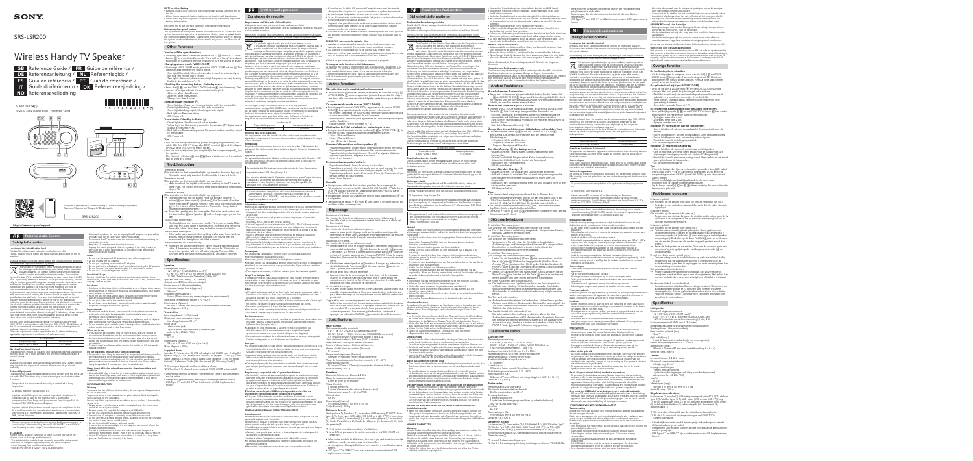© 2020 Sony Corporation Printed in China

D

5-012-133-**12**(1)

# SRS-LSR200

# Wireless Handy TV Speaker

# **GB** Reference Guide / **FR** Guide de référence / **DE** Referenzanleitung / **NL** Referentiegids / **ES** Guía de referencia / **PT** Guia de referência /

**IT** Guida di riferimento / **DK** Referencevejledning /

**NO** Referanseveiledning

# 

# **GB Personal Audio System**

# **Safety Information**

**Location of the identification label<br>Label for this speaker is located on the bottom of it** 

countries with separate collection systems) This symbol on the battery or on the packaging indicates that the battery provided with this product shall not be treated as household waste. On certain batteries this symbol might be

# The label for this speaker is located on the bottom of it. The AC adaptor model name and Serial number are located on the AC adaptor. Disposal of waste batteries (applicable in the European Union and other

Hereby, Sony Corporation declares that the radio equipment type SRS-LSR200 is in compliance with Directive 2014/53/EU. The full text of the EU declaration of conformity is available at the following internet address: https://compliance.sony.eu/ This radio equipment can be operated in the EU without infringing applicable requirements on the use of radio spectrum.

This equipment should be installed and ope distance of 20 cm or more between the antenna of this device and a person's body.

used in combination with a chemical symbol. The chemical symbol for lead (Pb) is added if the battery contains more than 0.004 % lead. By ensuring that these batteries are disposed of correctly, you will help to prevent potentially negative consequences for the environment and human health which could be caused by inappropriate waste handling of the battery. The recycling of the materials will help to conserve natural resources. In case of products that for safety, performance or data integrity reasons require a permanent connection with an incorporated battery, this battery should be replaced by qualified service staff only. To ensure that the battery will be treated properly, hand over the product at end-of-life to the appropriate collection point for the recycling of electrical and electronic equipment.<br>For all other batteries, please view the section on how to remove the<br>battery from the product safely. Hand the battery over to the<br>appropriate col more detailed information about recycling of this battery, please contact r local Civic Office, your household waste disposal service or the shop where you purchased the product or battery.

**This equipment**<br>That has been tested and found to comply with the limits set out in the EMC Directive using a connection signal cable shorter than 3 meters.

Energy consumption and other information for the power supply, as equired by Commission Regulation (EU) 2019/1782, is available at the following website: https://compliance.sony.eu/

Vhen wiring cables, be sure to unplug the AC adaptor for your safety and take care not to catch your feet on the cables. ect the AC adaptor from the mains socket before working on or moving the unit. – Keep the AC adaptor away from heat sources.

| Wireless Audio    |              |
|-------------------|--------------|
| Frequency range   | Output Power |
| 2400 - 2483.5 MHz | $< 10.0$ dBm |

# **Wireless Function of the unit**

**Notes** Dispose of batteries in an environmentally friendly way. Certain regions

Do not leave recorded tapes, personal credit cards or watches with magnetic coding in front of the speaker.

may regulate the disposal of batteries. Please consult your local authority.

flammable objects (candles, etc.). e unit shall not be exposed to dripping or splashing and no objects filled with liquids, such as vases, shall be placed on the unit. • Do not insert or place metal chains or foreign object on the back of the linput jacks<br>I stereo in 1 stereo i

# **Optional Equipment**

**When not in use** • If you will not be using the unit for several days, the unit should be  $\overline{\phantom{a}}$ cted from the mains for environmental and safety reasons.

This product has been manufactured by or on behalf of Sony

Corporation.

EU and UK Importer: Sony Europe B.V.

Inquiries to the EU Importer or related to product compliance in Europe should be sent to the manufacturer's authorized epresentative, Sony Belgium, bijkantoor van Sony Europe B.V., Da Vincilaan 7-D1, 1930 Zaventem, Belgium.

 $\bullet$  This product (including accessories) has magnet(s) which may interfere with pacemakers, programmable shunt valves for hydrocephalus treatment, or other medical devices. Do not place this product close to persons who use such medical devices. Consult your doctor before using this product if you use any such medical device.

Inquiries to the UK Importer or related to product compliance in the UK should be sent to the manufacturer's authorized representative, Sony Europe B.V., The Heights, Brooklands, Weybridge, Surrey KT13 0XW, United Kingdom.

Do not install this equipment in a confined space, such as a bookshelf or milar unit. lease ensure that the mains socket is installed near the equipment

• Connect the AC adaptor to an easily accessible mains socket. • Do not coil the USB cable around the AC adaptor. The core wire may be cut and/or it may cause a malfunction. • Do not touch the AC adaptor with wet hands.<br>• If you notice an abnormality in the AC adaptor, disconnect it from the

**AC Adaptor** Handle the AC adaptor as follows in order to avoid any risk of fire, electric shock or damage and/or injuries: – The set should be installed near an easily accessible mains socket. Fire set should be instance from an edgin, accessible means – Insert the plug fully into the mains socket. – Operate the unit on a 220 V - 240 V AC supply only.

mains socket immediately. The set is not disconnected from the mains source as long as it **NOTE on Li-ion Battery** batteries must be excessive heat such as sunshine, fire

– Unplug the mains plug and clean it regularly. If the plug is covered with dust and it picks up moisture, its insulation may deteriorate, which could result in a fire. **Notes**

not use the supplied AC adaptor on any other equipment. to not modify the AC adaptor

to not put anything heavy on the AC adaptor. • Do not pull on the AC adaptor itself when disconnecting the AC adaptor. Do not connect too many appliances to the same mains socket.

• Do not use a poor fitting mains socket **Prohibited Usage**  $\frac{1}{2}$  the unit in locations, environments such as those

**Checking the remaining battery status by sound** • Press the  $\circledast$  |B and the VOICE ZOOM button |E simultaneously. The number of beeps indicate the amount of battery left:

– 3 beeps: More than 4 hours. <sup>2</sup> beeps: More than 2 hour

1 beep: Less than 2 hour.

listed below, or the unit may malfunction and cause a fire, electric shock, damage and/or injuries. **Locations:**

• Outdoors (in direct sunlight), at the seashore, on a ship or other vessel. nside a vehicle, in medical institutions, unstable locations, near water, – Green light on: Sending sound to the speaker. – Yellow light on: Not sending sound to the speaker. (TV digital sound output is not set to PCM.) Red light on: Power saving mode. No sound and not sending sound to the speake

rain, moisture or smoke. • Place the unit set on a stable, level surface to prevent it from falling over and causing personal injury or property damage. • Do not place the unit in the reach of infant.

There is no sound. he indicator on the transmitter lights up in red or does not light up.)  $\rightarrow$  The cable is not fully inserted. Confirm cable is inserted firmly

There is no sound. (The indicator on the transmitter lights up in yellow.)

 $\rightarrow$  Make sure that the digital audio output setting on the TV is set to linear PCM. For setting methods, refer to the operating instructions of your TV.

here is no sound The indicator on the transmitter lights up in green.)

**Environments:** • Places that are hot, humid, or excessively dusty; where insects may enter; where it might be exposed to mechanical vibration, near

he transmitter  $\boxed{\textsf{K}}$  and Speaker  $\boxed{\textsf{G}}$  with a sharp-edged pen or the like.

u can hear some noise. I can hear some holse.<br>The headphone port connection on the TV is poor or dusty. Make sure that the audio cable is fully inserted. Inserting and removing the audio cable a few times may make the connection better. The sound is interrupted.

 $\cdot$  Other radio waves are interfering. Keep as far away from wireless devices or microwave ovens as possible. The sound may be interrupted if a smartphone or tablet is nearby.

The power turns off automatically. turns on duternation,"<br>urn off function is enabled. When you are using the audio cable, if there is no sound or just a little sound for 10 minutes or longer, the speaker will turn off automatically. To cancel this<br>function, keep pressing PAIRING button  $\boxed{\Gamma}$  around 10 seconds.

 $0.5 W + 0.5 W + 1 W (L / R / center, VOICE ZOOM is on)$ 1 % THD (Total Harmonic Distortion), 1 kHz, 4 Ω

to work correctly. **Do not place this product close to medical devices**

Frequency band: 2.4 GHz ban Maximum communication range Line of sight approx.  $30 \text{ m}^3$ 1 stereo mini jack,

 $\bullet$  As the unit is not disconnected from the mains when the unit is just  $\bullet$ turned off, pull the plug from the mains socket to disconnect the unit Dimensions (Approx.) completely. • This unit may have features that require the unit to be left in standby Mass (Approx.): 100 g

> \*2 When the 4 % of rated power output, VOICE ZOOM is turned off. • Depending on your TV model, some remote control buttons might

• Design and specifications are subject to change without notice.  $\bullet$  USB Type-C<sup>TM</sup> and USB-C<sup>TM</sup> are trademarks of USB Implementers

**Never insert USB plug when the product or charging cable is wet condition** • When the USB plug is inserted in a wet condition, a short circuit occurs **Emplacement de l'étiquette d'identification** étiquette de ce haut-parleur se trouve au bas de celui-c

due to the liquid (tap water, salt water, refreshing drink etc.) attached to the main unit and charging cable or foreign matter, it may cause abnormal heat generation or malfunction. **NOTE ON AC ADAPTOR**

Ce symbole apposé sur la pile ou l'accumulateur, ou sur l'emballage, indique que les piles et accumulateurs fournis avec ce produit ne doivent pas être traités comme de simples déchets ménagers. Sur certains types de piles, ce symbole apparaît parfois mbiné avec un symbole chimique. Le symbole chimique du plomb (P e affisjonté en implière contiennent plus de 0,004 % de plomb. En v

### **Warning**

 $\alpha$  reduce the risk of fire or electric shock, do not expose this apparatus to rain or moisture. To prevent fire or shock hazard, do not place objects filled with liquids, ich as vases, on the apparatus.

assurant que ces piles et accumulateurs sont mis au rebut de façon appropriée, vous participez activement à la prévention des conséquer ves que leur traitement inapproprié pourrait provoquer sur environnement et sur la santé humaine. Le recyclage des matériaux  $\mathsf{metric}$ par ailleurs à la préservation des ressources naturelles. Pour le produits qui, pour des raisons de sécurité, de performance ou d'intégrité des données, nécessitent une connexion permanente à une pile ou à un<br>accumulateur intégré(e), il conviendra de vous rapprocher d'un Service<br>Technique qualifié pour effectuer son remplacement. En rapportant votre appareil électrique en fin de vie à un point de collecte approprié, vous v assurez que la pile ou l'accumulateur sera traité correctement. Pour tous les autres cas de figure et afin de retirer les piles ou accumulateurs en toute sécurité de votre appareil, reportez-vous au manuel d'utilisation. Rapportez<br>les piles et accumulateurs usagés au point de collecte approprié pour le<br>recyclage. Pour toute information complémentaire au sujet du recyclage d

and shall be easily accessible. • Be sure to use the supplied AC adaptor and USB cable. • Do not use any other AC adaptor. It may cause a malfunction.

acheté ce produit ou cette pile ou cet accumulateur. Le soussigné, Sony Corporation, déclare que les équipements

connected to the mains socket, even if the set itself has been turned off. • As the AC adaptor will become warm when it is used for a long time, you may feel hot when touching it by hand.

triques de type SRS-LSR200 sont conformes à la directive 2014/5 UE. Le texte complet de la déclaration UE de conformité est disponible à l'adresse internet suivante : https://compliance.sony.eu/ Cet équipement radio peut être utilisé dans l'UE sans enfreindre les exigences en vigueur relatives à l'utilisation du spectre radio.

.<br>Cappareil a été testé et déclaré conforme aux limites de la Directive CEM lors de l'utilisation d'un câble de signal de liaison dont la longueur ne

e produit a été fabriqué par ou pour le compte de Sony Corporation.

battery deterioration. Be careful not to get pinched by fingers when storing the handle.

**Notes on splash-proof feature** The system has a splash-proof feature equivalent to the IPX2 Standard. The

system is protected against a certain amount of rain, snow, or splash, but is<br>not completely water resistant. Submerging the system in water, or leaving<br>the system in a humid bathroom, for example, may cause a malfunction

the system.

# **Other Functions**

**Turning off the operation tone** When the speaker is turned on, hold the Vol  $\lbrack\cdot\rbrack$   $\fbox{\fbox{D}}$  and VOICE ZOOM button  $\mathbb E$  for more than 2 seconds. There will be a "beep" sound and and will be turned off. Repeat this step to turn the sound on again. **Changing sound mode (VOICE ZOOM)**

• To change VOICE ZOOM mode, press the VOICE ZOOM button  $E$ . The light indicates the selected sound mode. fin marcuces the screeted sound mode.<br>One light (Standard); the centre speaker is used for voice and you

will hear the human voice clearly.

• Ne tirez jamais sur l'adaptateur secteur proprement dit pour le débrancher • Veillez à ne pas brancher un trop grand nombre d'appareils sur la même

• Pour la prise de courant, n'utilisez pas une prise de mauvaise qualité. **Ce qu'il ne faut pas faire** N'installez/n'utilisez pas l'appareil dans des lieux ou des environnements<br>comparables à ceux répertoriés ci-dessous car sinon, il risque de ne pas<br>fonctionner correctement ou de provoquer un incendie, une électrocution,<br>d

– Two lights: Standard plus increased high frequency for easy hearing. – No light: Normal stereo (L / R)

**Lieu :**<br>• A l'extérieur (en plein soleil), au bord de la mer, sur un bateau ou voilier, à l'intérieur d'un véhicule, dans des établissements hospitaliers, des sites

• Positionnez l'appareil sur une surface stable et horizontale afin d'éviter qu ne tombe, n'entraîne des blessures ou n'endommage des biens. • Ne placez pas l'appareil à la portée des nourrissons.

• Ne laissez pas de cassettes enregistrées, cartes de crédit personnelles ou

**Speaker power indicator**  – Green light on: Power on. Communicating with the transmitter. – Green light blinking: Power on. No radio connection.

Green light blinking rapidly: Sending remote signal. ed light on: Remote setting.

> • Endroits excessivement chauds, humides ou poussiéreux ; accessibles au: insectes ; soumis à des vibrations mécaniques, à proximité d'objets

eillé de le débrancher de l'alimentation secteur pour des raisons de

– Off: Power off. **Transmission/Standby indicator** 

L'appareil ne doit être exposé à aucune forme d'écoulement o d'éclaboussure. C'est pourquoi aucun objet rempli d'un liquide uelconque, comme un vase, ne doit être placé sur l'appare • Ne pas insérer ou placer de chaînes métalliques ou de corps étrangers à

– Off: Power off.

• L'appareil étant toujours sous tension lorsqu'il est simplement étein débranchez la fiche d'alimentation secteur de la prise secteur pour le

**Tips** .<br>You can use the speaker during power charging by connecting USE cable USB-A to USB-C<sup>™</sup> to speaker DC IN terminal **H**, and AC adaptor **Remarques** CP-AD2 (as of Oct. 2019) to mains socket.

 $\overline{a}$   $\overline{b}$  and  $\overline{c}$  are the state of  $\overline{a}$  in the headphone port  $\overline{a}$  on  $\overline{a}$ the speaker. • The channel  $[+]$  button  $\boxed{C}$  and  $\boxed{B}$  have a tactile dot on them which **Appareils optionnels** 

can be used as a quide

# **Troubleshooting**

**N'insérez jamais la prise USB lorsque le produit ou le câble de<br>chargement se trouve sous des conditions d'humidité<br>• Si la prise USB est insérée sous des conditions d'humidité et si un** court-circuit se produit à cause du liquide (eau du robinet, eau salée, sson rafraîchissante, etc.) se trouvant sur l'appareil principal et le câble de chargement ou sur des corps étrangers, cela peut provoquer une génération de chaleur anormale ou un dysfonctionnement. **REMARQUE CONCERNANT L'ADAPTATEUR SECTEUR**

the like. • When the rechargeable battery leaks, do not touch it with bare hands. • When not using for a long time, charge once every six months to preve **Consignes de sécurité**

> Veillez à utiliser l'adaptateur secteur et le câble USB fourni • N'utilisez aucun autre adaptateur secteur. Cela pourrait provoquer un

• N'enroulez pas le câble USB autour de l'adaptateur secteur. Le cœur du câble peut être coupé et/ou il pourrait entraîner un dysfonct • Ne touchez pas l'adaptateur secteur avec les mains humides. • En cas d'anomalie de fonctionnement de l'adaptateur secteur, débrai le immédiatement de la prise secteur. L'appareil n'est pas déconnecté de la source d'alimentation secteur auss

### **REMARQUE concernant la batterie Li-ion** • Les piles ne doivent pas être exposées à une chaleur excessive, par

Le système est équipé d'une fonction anti-éclaboussures équivalente à la norme IPX2. Le système est protégé contre un certain degré de pluie, de<br>neige ou d'éclaboussures, mais il n'est pas parfaitement étanche.<br>L'immersion du système dans l'eau ou sa présence prolongée dans une salle de bain humide, par exemple, peuvent entraîner son

**Désactivation de la tonalité de fonctionnement** • Lorsque le haut-parleur est allumé, maintenez les boutons Vol [-]  $\mathbf{D}$ <br>et VOICE ZOOM  $\mathbf{E}$  enfoncés pendant plus de 2 secondes. Un « bip » sera émis et le son sera désactivé. Répétez cette étape pour réactive

# **Specifications**

# **Speaker**

– 2 bips : Plus de 2 heures. l bip : Moins de 2 heures

Speaker unit: Φ40 mm (L / R / center)

**Témoin d'alimentation du haut-parleur**  – Voyant vert allumé : Sous tension. Communication avec l'émetteur. – Voyant vert clignotant : Sous tension. Pas de connexion radio. – Voyant vert clignotant rapidement : Envoi d'un signal à distance. oyant rouge allumé : Réglage à distance.

Output jack: Φ3.5 mm Stereo mini jack

Power source: Lithium ion battery

Continuous usage hours (Approx 13 hours

Charging time (Approx.) 3 hours (These may vary depending on the environment)

182 mm  $\times$  77 mm  $\times$  87 mm (with handle lowered, w  $\times$  h  $\times$  d)

Operating temperature range: 5 °C − 40 °C

optical audio input terminal (square shape

194 mm x  $25$  mm x 105 mm (w x h x d)

Dimensions (Approx.)

Mass (Approx.): 630 g **Transmitter**

• Vous pouvez utiliser le haut-parleur pendant le chargement de<br>l'alimentation en connectant le câble USB USB-A à USB-C™ à la borne DC IN du haut-parleur, et l'adaptateur secteur CP-AD2 (à partir

(only for fs = 48 kHz PCM)

ctobre 2019) à la prise secteur  $\overline{\mathrm{v}}$ us pouvez utiliser un casque (non fourni) dans la prise casque  $\overline{\mathbf{u}}$  d Les boutons de canal  $[+]$   $\boxed{C}$  et  $\boxed{B}$  sont dotés d'un point tactile qui peut être utilisé comme guide.

emoin de l'émetteur s'allume en vert.<sup>)</sup>

Aucun son n'est émis. (Le témoin de l'émetteur s'allume en rouge ou ne s'allume pas.) → Le câble n'est pas complètement inséré. Vérifiez que le câble est

Power DC 5 V

**Supplied items**

 Le haut-parleur peut ne pas être appairé. Maintenez le bouton de tern gelieferte Netzteil.

Speaker (1), Transmitter (1), USB-AC adaptor AC-UUD12 type-C plug (1)/ the matrix (−, numerous), which is the matrix (−, numerous), the contract (−, numerous) (approx. 1.5 m cable (approx. 1.5 m) (1), optical audio cable (approx. 1.5 m) (1), Setup Guide (2), Reference Guide (this document) (3), Warranty Card (1)

volume du haut-parleur [-] [D] et le bouton de canal [+] [C] pendant<br>2 secondes. (Le témoin d'alimentation du haut-parleur [F] clignote en jaune). Ensuite, appuyez sur le bouton PAIRING [ sur le bas de l'émetteur. (Le voyant de l'émetteur clignote en jaune puis devient

vert.) Réinitialisez le haut-parleur et l'émetteur. Appuyer sur le bouton de réinitialisation de l'émetteur [<u>K</u>] et du haut-parleur [<u>G</u>] wavec un<br>stylo à pointe fine ou similaire.

\*1 It changes depends on the conditions of use.

not be active.

Forum.

Rated power outpi  $1 W + 1 W$  (L / R, VOICE ZOOM is off)<sup>\*1</sup> **FR Système audio personnel**

vous utilisez le câble audio, s'il n'y a pas de son ou juste un peu de son pendant 10 minutes ou plus, le haut-parleur s'éteint automatiquement. Pour annuler cette fonction, continuez à appuyer sur le bouton PAIRING  $\boxed{\mathsf{L}}$  pendant environ 10 secondes.

Le nom de modèle et le numéro de série de l'adaptateur secteur se trouvent

sur l'adaptateur secteur.

Elimination des piles et accumulateurs usagés (applicable dans les pays de l'Union Européenne et dans les autres pays disposant de systèmes de

collecte sélective)

### Plage de communication maximum Ligne de mire 30 m environ\*

 The speaker may not be paired. Hold the speaker volume [-] button and the channel [+] button for 2 seconds. (Speaker Power indicator flashing yellow). Then push the PAIRING button on the bottom of the Transmitter. (Transmitter lamp flashes ow then become green.) Reset the speaker and the transmitter. Press the reset button on Commission (UE) n° 2019/1782, sont disponibles sur le site Web suivant https://compliance.sony.eu/ **Adaptateur secteur** risque d'incendie, d'électrocution ou autre dommage et/ou blessure : – L'appareil doit être installé à proximité d'une prise de courant aisément accessible.

> aut-parleur (1), Émetteur (1), Adaptateur USB-secteur AC-UUD12 fiche  $\epsilon$ e-C (1)/ fiche type-G (1), câble USB (USB-A à USB-C™) (1,5 m enviro ), câble audio (1,5 m environ) (1), câble audio optique (1,5 m environ (1), Guide d'installation (2), Guide de référence (ce document) (3), Carte

préavis.<br>• USB Type-C™ et USB-C™ sont des marques commerciales d'USB Implementers Forum.

**PE PE Sicherheitsinformationen**

cette pile ou de cet accumulateur, vous pouvez contacter votre municipalité, votre déchetterie locale ou le point de vente où vous avez

> Audio sans fil Plage de fréquences Puissance de sortie 2 400-2 483,5 MHz < 10,0 dBm

**Fonction sans fil de l'appareil**

### Ausgangslei 2.400 – 2.483,5 MHz < 10,0 dBm

Cet équipement doit être installé et utilisé en laissant une distance de séparation d'au moins 20 cm entre l'antenne de ce périphérique et le corps

d'une personne.

depasse pas 3 mètres."<br>epasse pas 3 mètres."

Anfragen an den Importeur oder zur Produktkonformität auf Grundlage der Gesetzgebung in Europa senden Sie bitte an den Bevollmächtigten Sony Belgium, bijkantoor van Sony Europe B.V., Da Vincilaan 7-D1, 1930 tem, Belgien.

locales.

\*Energieverbrauch und andere Informationen zur Stromversorgung sind wie von der Richtlinie der Europäischen Kommission (EU) 2019/1782 ter der folgenden Internetadresse verfügbar: /compliance.sony.eu/

Les questions basées sur la législation européenne pour l'importateur ou relatives à la conformité des produits doivent être adressées au mandataire : Sony Belgium, bijkantoor van Sony Europe B.V., Da Vincilaan 7-D1, 1930 Zaventem, Belgique.

consommation énergétique et d'autres informations relatives à imentation électrique, conformément au règlement de la

adaptateur secteur comme indiqué ci-dessous afin d'éviter tout

uniquement un adaptateur secteur Sony et pas d'une autre marque.<br>– Insérez la fiche à fond dans la prise secteur.<br>– Utilisez l'appareil sur une alimentation de 220 V - 240 V CA uniquement.<br>– Pour votre propre sécurité, assurez-vous que l'adaptateur secteur est

é lorsque vous réalisez des branchements et veillez à ne pas

ez la fiche du cordon d'alimentation secteur et nettoyez-la rement. Si la fiche accumule de la poussière ou est exposée à 'humidité, son isolation peut se détériorer et un incendie peut se déclare

> ent doer die Kaber.<br>ennen Sie den Netzadapter von der Netzsteckdose, bevor Sie das Gerät reparieren oder transportieren.

– Halten Sie das Netzteil von Wärmequellen fern.<br>– Ziehen Sie den Netzstecker aus der Steckdose und reinigen Sie ihn<br>– regelmäßig. Wenn der Stecker verstaubt ist und sich Feuchtigkeit ablagert, kann die Isolierung leiden und es besteht Feuergefahr.

**Hinweise** venden Sie das mitgelieferte Netzteil nicht mit anderen Geräten.

Nehmen Sie am Netzteil keine Veränderungen vo • Stellen Sie keine schweren Gegenstände auf das Netzteil.<br>• Ziehen Sie nicht am Netzteil selbst, wenn Sie das Netzteil aus der<br>• Steckdose herausziehen.

– Avant d'effectuer tout type d'intervention ou de déplacer l'appareil,

débranchez l'adaptateur secteur de la prise de courant. – Éloignez l'adaptateur secteur des sources de chaleur.

Gerät abgestellt werden.<br>• Legen Sie keine Metallketten oder andere Gegenstände auf die Rückseite Ausgangsbuchse: Φ3,5 mm Stereo-Minibuchse des Gerätes oder auf die Anschlüsse des Funksenders.

Zum Schutz der Umwelt und aus Sicherheitsgründen empfiehlt es sich, das Gerät vom Stromnetz zu trennen, wenn es mehrere Tage nicht benutzt

**Remarques**

• N'utilisez pas l'adaptateur secteur fourni avec un autre appareil.

tateur dans l'UE : Sony Europe B.V

her dans les câbles.

• Ne modifiez pas l'adaptateur secteur.

• Ne posez jamais d'objet lourd sur l'adaptateur secteur.

**Dieses Produkt nicht in der Nähe von medizinischen Geräten aufstellen<br>• Dieses Produkt (einschließlich der Zubehörteile) enthält einen oder<br>• mehrere Magnete, die Herzschrittmacher, programmierbare Shunt-Ventile** für die Behandlung von Hydrozephalus oder andere medizinische Geräte chtigen können. Stellen Sie dieses Produkt nicht in der Nähe von Personen auf, die solche medizinischen Geräte verwenden. Konsultieren Sie Ihren Arzt vor der Benutzung dieses Produkts, falls Sie ein solches medizinisches Gerät verwenden.

prise de courant.

**Warnung** Um das Risiko eines Brandes oder Stromschlags zu reduzieren, sollten Sie das Gerät weder Regen noch Feuchtigkeit aussetzen. stellen Bilfen Sie keine Gefüllten Objekte, wie z.B. Vasen, auf das um die Gefahr eines Brandes oder Stromschlags zu verringern. Gerät, um die Gefahr eines Brandes oder Stromschlags zu verringern. Stellen Sie das Gerät nicht an einem Ort auf, an dem eine ausreichende Stellen Sie als eerat nicht an einem Ort auf, an dem eine ausreichende "In De hach Nuizungsbedingungen." stopcontact. "In stopcontact.<br>Luftzufuhr nicht gegeben ist, zum Beispiel in einem engen Regalfach oder \*2 Bei 4 % Ne • Stellen Sie sicher, dass sich die Netzsteckdose in der Nähe des Geräts befindet und leicht zugänglich i

erwenden Sie unbedingt das mitgelieferte Netzteil und USB-Kabel ere anderen Netzteile. Andernfalls kann es zu eine Fehlfunktion kommen. • Schließen Sie das Netzteil an eine leicht zugängliche Netzsteckdose an.

instables, exposés à la pluie, l'humidité ou à la fumée.

montres à codage magnétique devant le haut-parleur.

**Environnements :**

inflammables (bougies, etc.).

ent lorsque vous ietez les piles. L'élimination de piles peut étre réglement de la communisation.<br>Intée dans certaines régions. Consultez les aut

System ist spritzwassergeschützt und entspricht dem IPX2-Standard. rstem ist vor einer gewissen Menge an Regen, Schnee oder Spritzwasser geschützt, aber nicht vollständig wasserfest. Wenn das System zum Beispiel in Wasser getaucht oder in einem feuchten Badezimmer gelassen wird, kann dies zu einer Fehlfunktion des Systems führen.

• Um den VOICE ZOOM-Modus zu ändern, drücken Sie VOICE ZOOM-Taste Vol  $\overline{F}$ . Das Licht zeigt den gewählten Tonmodus an. dard); der mittlere Lautsprecher wird für Sprache verwendet und Sie hören die menschliche Stimme deutlich. Zwei Lichter: Standard plus Anhebung der Höheren Frequenzen für

l'arrière de l'appareil ou sur les bornes de l'émetteur.

**Au repos**

• Si vous envisagez de ne pas utiliser l'appareil pendant plusieurs jours, il est

sécurité et de protection de l'environnement.

– Grünes Licht blinkt: Eingeschaltet. Keine Funkverbindung. irünes Licht blinkt schnell: Sendet ein Funksignal.

mettre complètement hors tension.

• Cet appareil possède des caractéristiques dont le bon fonctionnement peut exiger que l'appareil demeure sous tension lorsqu'il est en mode

veille.

**Ne placez pas ce produit près d'appareils médicaux**

autsprecher gesendet – Off: Ausgeschaltet.

• Sie können den Lautsprecher während des Aufladens der Stromversorgung verwenden, indem Sie das USB-Kabel USB-A auf USB-C™ an den Anschluss DC IN **H** des Lautsprechers und das Netzteil CP-AD2 (ab Okt. 2019) an die Steckdose anschließen.  $\sin$ e können den Kopfhöreranschluss  $\Pi$  des Lautsprechers einen Kopfhörer (nicht mitgeliefert) anschließen.<br>• Die Kanal [+]-Taste [C] und ⑤ [B] haben einen fühlbaren Punkt, der als

Die Anzeige am Funksender leuchtet rot oder gar nicht.

• Ce produit (y compris les accessoires) comporte un ou des aimants qui peuvent perturber les stimulateurs cardiaques, les valves de dérivation programmables pour le traitement de l'hydrocéphalie ou d'autres appareils médicaux. Ne placez pas ce produit près de personnes utilisant ce type d'appareil médical. Consultez votre médecin avant d'utiliser ce

Orientierungshilfe dient. **Störungsbehebung** wird kein Ton ausgegebe

produit si vous utilisez ce type d'appareil médical.

→ Setzen Sie Lautsprecher und Funksender zurück. Drücken Sie die<br>Reset-Taste  $\overline{K}$  am Sender und die Taste  $\overline{G}$  am Lautsprecher mit einem spitzen Stift oder einem ähnlichem Gegenstand.

 $\overline{\phantom{a}}$  Die Verbindung zum Kopfhöreranschluss am Fernsehgerät i schlecht oder staubig. Stellen Sie sicher, dass das Audiokabel vollständig eingesteckt ist. Durch mehrmaliges Einstecken und Abziehen des Audiokabels wird die Verbindung möglicherweise

**Avertissement**

Pour réduire les risques d'incendie ou d'électrocution, n'exposez pas cet

appareil à la pluie ou à l'humidité.

Andere Funkwellen stören die Verbindung. Halten Sie so große Abstand zu drahtlosen Geräten oder Mikrowellen wie möglich. Der Ton kann unterbrochen werden, wenn sich ein Smartphone oder

Pour éviter les risques d'incendie ou d'électrocution, ne placez pas des objets remplis de liquide, tels que des vases, sur l'appareil. N'installez pas ce matériel dans un espace confiné, par exemple une étagère

ou toute unité similaire.

• Assurez-vous que la prise secteur se trouve à proximité de l'appareil et

qu'elle est facilement accessible.

13 Stunden\* Ladedauer (ca.)

Frequenzband: 2,4-GHz-Band Maximaler Kommunikationsbereich Bei Sichtverbindung ca. 30 m<sup>\*</sup>

nur für fs = 48 kHz PCM)

dysfonctionnement.

Eingangsbuchsen Stereo-Minibuchse,

• Raccordez l'adaptateur secteur à une prise secteur d'accès aisé.

• Änderungen, die dem technischen Fortschritt dienen, bleiben vorbehalten.<br>• USB Type-C™ und USB-C™ sind Markenzeichenvon USB Implementers

longtemps qu'il reste branché sur la prise murale, même si l'appareil proprement dit a été mis hors tension. • Dans la mesure où l'adaptateur secteur chauffe quand il est utilisé pendant

une période prolongé, il peut être chaud lorsque vous le touchez avec la

main.

exemple rayon du soleil, feu ou toute source de chaleur similaire. • Si la batterie rechargeable fuit, ne la touchez pas à mains nues. Si vous ne l'utilisez pas pendant une longue période, rechargez-la u tous les six mois afin d'éviter la détérioration de la batterie.

Veillez à ne pas vous pincer les doigts en rangeant la poignée. **Remarques sur la fonction anti-éclaboussures**

> servicepersoneel worden vervangen. Om ervoor te zorgen dat de batterij op<br>een juiste wijze zal worden behandeld, dient u dit product aan het eind van<br>zijn levenscyclus in te leveren bij het juiste inzamelingspunt voor het recyclen van elektrisch en elektronisch materiaal. Voor alle andere ba erwijzen we u naar het hoofdstuk over het veilig verwijderen van batterije Lever de batterijen in bij het juiste inzamelingspunt voor het recyclen van batterijen. Voor meer informatie over het recyclen van de batterij kunt u contact opnemen met de gemeentelijke instanties, de organisatie belast met de verwijdering van huishoudelijk afval of de winkel waar u het product

Hierbij verklaart Sony Corporation dat de radioapparatuur type SRS-LSR200 conform is met Richtlijn 2014/53/EU. De volledige tekst van de EUverklaring kan worden geraadpleegd op het volgende

dysfonctionnement.

faciliter l'audition

# **Autres fonctions**

 $2.400 - 2.483.5$  MHz **Draadloze functie van het toestel**

importeur: Sony Europe B.V.

le son.

### **Changement du mode sonore (VOICE ZOOM)**

r changer le mode VOICE ZOOM, appuyez sur le bouton VOICE ZOOM E. Le voyant indique le mode sonore sélectionné. Un voyant (Standard) ; le haut-parleur central est utilisé pour la voix et vous entendrez clairement la voix humaine. eux voyants : Standard plus agumente les hautes fréquences pour

> Dit toestel is getest en compatibel bevonden met de limieten vermeld in de<br>EMC-richtlijn voor het gebruiken van een verbindingssignaalkabel korter dan<br>3 meter. Dit product werd vervaardigd door of in opdracht van Sony Corporation

aen aan de EU invoerder of met betrekking tot Europe r de 20 mit deuen die met betrekking tot 2010pese<br>1 formiteit kunnen worden gericht aan de gemachtigd vertegenwoordiger, Sony Belgium, bijkantoor van Sony Europe B.V., Da Vincilaan 7-D1, 1930 Zaventem, België.

# – Pas de lumière : Stéréo normale (G / D).

**Vérification de l'état de la batterie restante par le son** nombre de bips indique la quantité de batterie restante : – 3 bips : Plus de 4 heures.

> – Verwijder de stekker uit het stopcontact en reinig deze regelmatig. Als de stekker vochtig wordt of stoffig, kan de isolatie verslechteren, hetgee

• Plaats geen zware voorwerpen op de netspanningsadapter. • Trek nooit de stekker uit het stopcontact door aan de netspanningsadapter te trekken.<br>● Sluit niet te veel apparaten aan op hetzelfde stopcontact.<br>● Gebruik geen stopcontact waarbij de stekker slecht contact maakt.

### – Éteint : Hors tension.

**Témoin de transmission/veille**  – Voyant vert allumé : Envoi du son au haut-parleur. – Voyant jaune allumé : N'envoie pas le son au haut-parleur. (La sortie onore numérique du téléviseur n'est pas réglée sur PCM.) – Voyant rouge allumé : Mode d'économie d'énergie. Pas de son et pas d'envoi de son au haut-parleur.

> Plaats het apparaat op een stabiel, horizontaal oppervlak zodat het niet kan vallen en geen persoonlijk letsel of materiële schade wordt veroorzaakt. • Plaats het apparaat niet binnen het bereik van kinderen.

**Laat geen opgenomen tapes, persoonlijke creditcards of horloges metally** 

– Éteint : Hors tension.

**Conseils**

haut-parleur.

**Dépannage**

bien inséré.

### Aucun son n'est émis. emoin de l'émetteur s'allume en jaune. Assurez-vous que le réglage de la sortie audio numérique de téléviseur est réglé sur PCM linéaire. Pour les méthodes de réglage, reportez-vous au mode d'emploi de votre téléviseur.

Aucun son n'est émis.

ontstaan door vloeistof (kraanwater, zout water, frisdrank enz.) die aan h apparaat of de laadkabel zit of bij verontreinigingen aan de kabel kan dit abnormale warmteontwikkeling of storing veroorzaken.

berk het risico van brand of een elektrische schok, stel dit apparaat niet

Plaats geen voorwerpen die met een vloeistof gevuld zijn, zoals een vaas,<br>op het toestel zodat brand of een elektrische schok wordt vermeden.<br>Installeer dit apparaat niet in een besloten ruimte zoals een boekenrek of dergelijke. • Zorg ervoor dat het stopcontact zich in de buurt van het toestel bevindt en

Un peu de bruit peut se faire entendre. La connexion de la prise casque du téléviseur est de mauvaise

qualité ou poussiéreuse. Assurez-vous que le câble audio est ment inséré. Le fait d'insérer et de retirer le câble audio plusieurs fois peut améliorer la connexion.

maanden worden opgeladen zodat achteruitgang wordt voorkome Let op dat uw vingers niet bekneld raken bij het opbergen van de hendel.

# **Opmerking over de spatbestendigheid**<br>Het systeem is in overeenstemming met de IPX2-stan Het systeem is in overeenstemming met de IPX2-standaard spatbestendig.<br>Het systeem is derhalve beschermd tegen een bepaalde hoeveelheid regen,<br>sneeuw en spatten maar is echter niet geheel waterdicht. Het systeem zal

Le son est interrompu. D'autres ondes radio interfèrent. Tenez l'appareil aussi éloigné que possible des appareils sans fil ou des fours à micro-ondes. Le son peut être interrompu si un smartphone ou une tablette se trouve à

appareil se met automatiquement hors tension  $\rightarrow$  La fonction de mise hors tension automatique est activée. Lorsque mogelijk onjuist functioneren nadat het in water is ondergedompeld of brbeeld in een zeer vochtige badkamer werd bewaard.

proximité.

• Als de luidspreker is aangezet, houd dan de Vol  $\lceil \cdot \rceil$   $\lceil \frac{1}{r} \rceil$  en VOICE ZOOM-knop langer dan 2 seconden ingedrukt. TEr klinkt een

**De geluidsstand wijzigen (VOICE ZOOM)**  $\cdot$  Druk op de VOICE ZOOM-knop  $\boxed{E}$  om de VOICE ZOOM-stand te

### wijzigen. Het licht geeft de gekozen geluidsstand aan.  $\tilde{\epsilon}$ én licht (standaard): de centrale luidspreker wordt voor spraak

gebruikt en u hoort een menselijke stem duidelijk. Twee lichten: standaard plus een verhoogde frequentie voor

# **Spécifications**

**Haut-parleur**

13 heures\*

• Druk gelijktijdig op de (5) B en de VOICE ZOOM-knop E. Het aantal piepjes geeft het resterende batterijvermogen aan:

1 W + 1 W (G / D, VOICE ZOOM est désactivé)\*1 0,5 W + 0,5 W + 1 W (G / D / centre, VOICE ZOOM est activé) 1 % THD (Distorsion harmonique totale), 1 kHz, 4 Ω Unité de haut-parleur : Φ40 mm (G / D / centre) Prise de sortie : Mini-prise stéréo Φ3,5 mm Source d'alimentation : Batterie Lithium ion

roen licht brandt: verzendt geluid naar de luidspreke eel licht brandt: verzendt geen geluid naar de luidspreker. (De digitale geluidsuitgang van de tv is niet op PCM ingesteld.)

# male gelandsuitguitg van de en de male op

Heures d'utilisation en continu (Environ)

# Puissance de sortie nominal

# Temps de chargement (Environ)

3 heures (Peut varier selon l'environnement) Plage de température de fonctionnement : 5 °C − 40 °C Dimensions (Environ) 182 mm × 77 mm × 87 mm (avec poignée abaissée, l × h × p)

**Émetteur**

es d'entrée

Poids (Environ) : 630 g Bande de fréquence : Bande 2,4 GHz

1 mini-prise stéréo, borne d'entrée audio optique (format carré) (uniquement pour fs = 48 kHz PCM)

Alimentation 5 V DC

# Dimensions (Environ) 194 mm x 25 mm x 105 mm (l x h x p)

Poids (Environ) : 100 g

**Éléments fournis**

groen.) Reset de luidspreker en de zender. Druk met de scherpe punt van een pen of iets dergelijks op de resetknop op de zender **K** en

de garantie (1)

\*1 Peut varier selon les conditions d'utilisation. \*2 Avec 4 % de puissance de sortie nominale et si VOICE ZOOM est

on votre modèle de téléviseur, il se peut que certaines touches de la télécommande ne soient pas fonctionnelles. conception et les spécifications sont sujettes à modification sans  De automatische uitschakelfunctie is ingeschakeld. Wanneer u de audiokabel gebruikt als er 10 minuten lang geen of maar een beetie geluid is, dan zal de luidspreker automatisch uitschakelen.

# Houd de PAIRING-knop [L] ongeveer 10 seconden ingedrukt om<br>deze functie te annuleren.

désactivé.

Voedingsbron: Lithium-ionbatterij continu gebruik (ong.)

### **Position des Bezeichnungsschildes** Das Schild für diesen Lautsprecher befindet sich an der Unterseite des

zichtlijn ong. 30 m Ingangsaansluitingen 1 stereo miniaansluiting,

an/uit DC 5 V

Lautsprechers. Modellbezeichnung und Seriennummer befinden sich auf dem Netzteil. Entsorgung von gebrauchten Batterien und Akkus (anzuwenden in den

Ländern der Europäischen Union und anderen Ländern mit einem separaten Sammelsystem für diese Produkte)

# $F$   $F$   $G$   $H$  $\mathsf F$

Das Symbol auf der Batterie/dem Akku oder der Verpackung weist darauf hin, dass die Batterie/der Akku nicht als normaler Haushaltsabfall zu behandeln sind. Auf einigen Akkus/Batterien wird dieses Symbol eventuell mit einem zusätzlichen chemisch ymbol verwendet. Das chemische Symbol für Blei (Pb) wird hir ,<br>enn die Batterie/der Akku einen Anteil von mehr als 0,004 % Blei enthält. Durch Ihren Beitrag zum korrekten Entsorgen der Batterie/des Akkus<br>schützen Sie die Umwelt und die Gesundheit Ihrer Mitmenschen. Umwelt<br>und Gesundheit werden durch falsches Entsorgen gefährdet. aterialrecycling hilft, den Verbrauch von Rohstoffen zu verringern. Bei odukten, die auf Grund ihrer Sicherheit, der Funktionalität oder als cherung vor Datenverlust eine ständige Verbindung zur eingel Batterie/zum eingebauten Akku benötigen, sollte die Batterie/der Akku nur durch qualifiziertes Servicepersonal ausgetauscht werden. Um sicherzustellen, dass die Batterie/der Akku korrekt entsorgt wird, geben Sie as Produkt zwecks Entsorgung an einer geeigneten Annahmestelle für das vcling von elektrischen und elektronischen Geräten ab. Für alle anderer g von ciektrischen and crektromschen Schatten ab Har<br>1/Akkus entnehmen Sie die Batterie/den Akku bitte er dem Kapitel über die sichere Entfernung der Batterie/des Akkus. Geben Sie die Batterie/den Akku an einer geeigneten Annahmestelle für das Recycling von Batterien/Akkus ab. Weitere Informationen über das Recycling der Batterie/des Akkus erhalten Sie von Ihrer Gemeinde, den kommunalen

gsbetrieben oder dem Geschäft, in dem Sie das Produkt gekauft haben. Hinweis für Lithiumbatterien: Bitte geben Sie nur entlader<br>Iben. Hinweis für Lithiumbatterien: Bitte geben Sie nur entlader Batterien an den Sammelstellen ab. Wegen Kurzschlussgefahr überkleben Sie bitte die Pole der Batterie mit Klebestreifen. Sie erkennen nbatterien an den Abkürzungen Li oder CR.

.<br>Entsorgungshinweis: Bitte werfen Sie nur entladene Batterien in die<br>Sammelboxen beim Handel oder den Kommunen, Entladen sind Ba Sammelboxen beim Handel oder den Kommunen. Entladen sind Batterien in<br>der Regel dann, wenn das Gerät abschaltet und signalisiert "Batterie leer"<br>oder nach längerer Gebrauchsdauer der Batterien "nicht mehr einwandfrei<br>funkt

• Appuyez simultanément sur les boutons ⑤ B et VOICE ZOOM E. Le Hiermit erklärt Sony Corporation, dass der Funkanlagentyp SRS-LSR200 der Klebestreifen ab oder geben Sie die Batterien einzeln in einen Plastikbeute Richtlinie 2014/53/EU entspricht. Der vollständige Text der EUonformitätserklärung ist unter der folgenden Internetadresse verfügbar //compliance.sony.eu/

Dieses Rundfunkgerät ist in der EU ohne Verstoß gegen die geltenden mungen zur Nutzung von Funkfrequenzen ei Drahtloses Audio

**Drahtlosfunktion des Geräts** Dieses Gerät sollte in einem Mindestabstand von 20 cm zwischen der Antenne dieses Geräts und dem Körper einer Person installiert und betrieben werden.

**Hinweise**

Entsorgen Sie verbrauchte Batterien umweltschonend. Beachten Sie bitte geltende Entsorgungsrichtlinien für Batterien. Wenden Sie sich ggf. an die zuständige Behörde. **Optionales Gerät**

# Dieses Gerät wurde geprüft und erfüllt die EMV-Richtlinie, sofern ein

kabel von unter 3 m Länge verwendet wird. ses Produkt wurde von oder für die Sony Corporation hergestell

orteur: Sony Europe B.V

### **Netzteil**

Um alle Risiken wie Feuer, Elektroschock oder Beschäd erletzungen auszuschließen, sollten Sie das Netzteil wie hier angegebe

handhaben: – Das Gerät sollte neben einer frei zugänglichen Netzsteckdose installiert

werden. – Verwenden Sie ausschließlich das von Sony und keinem anderen

– Stecken Sie den Stecker ganz in die Netzsteckdose.

Dieses Gerät ist ausschließlich für den Betrieb an 220 V bis 240 V A

ausgelegt. – Trennen Sie das Netzteil zu Ihrer eigenen Sicherheit unbedingt vom Netzstrom, wenn Sie Kabel an dem Gerät anschließen, und stolpern Sie nicht über die Kabel.

• Achten Sie darauf, nicht zu viele andere Geräte an dieselbe Netzsteckdose

anzuschließen. • Verwenden Sie eine Netzsteckdose, in der der Stecker fest sitzt. **Verbotene Nutzung**

### IInstallieren Sie das Gerät weder an Standorten noch in Umgebungen wie den hier aufgeführten, da dies zu Fehlfunktionen des Geräts und Feuer, Elektroschock, Beschädigungen und/oder Verletzungen führen kann. **Standorte:**

Im Freien (in direktem Sonnenlicht), am Meer, auf einem Schiff oder Boot im Innern eines Fahrzeugs, in medizinischen Einrichtungen, an instabilen Standorten, in der Nähe von Wasser, Regen, Feuchtigkeit oder Rauch. • Stellen Sie das Gerät auf eine stabile, ebene Oberfläche, um zu verhindern, dass es herunterfällt und Personenschäden oder Sachschäden verursacht. • Halten Sie das Gerät außer der Reichweite von Kindern. Legen Sie aufgenomme Bänder, Kreditkarten oder Uhren mit treifen nicht vor den Lautsprecher.

**Umgebungen:**<br>• An heissen, feuchten oder übermäßig staubigen Orten, an denen Insekten<br>· in das Gerät eindringen können; an denen es mechanischen Erschütterungen ausgesetzt ist, neben brennbaren Objekten (Kerzen usw.). • Das Gerät darf weder Tropfen oder Spritzern ausgesetzt werden. Es dürfen als 1 % THD (Gesamtklirrfaktor), 1 kHz, 4 Ω<br>keine mit Flüssigkeit gefüllten Gegenstände, zum Beispiel Vasen, auf dem alt zutsprechereinheit: Φ40 m

**Wenn das Gerät nicht benutzt wird**

### wird. • Da das Gerät auch in ausgeschaltetem Zustand mit dem Stromnetz verbunden ist, wenn es nur ausgeschaltet wurde, muss der Stecker aus der Abmessungen (Ca.) Netzsteckdose gezogen werden, um das Gerät vollkommen auszuschalten. • Bei diesem Gerät gibt es möglicherweise Funktionen, für die es in den Bereitschaftsmodus geschaltet sein muss.

### **Stecken Sie den USB-Stecker nie ein, wenn das Produkt oder das Ladekabel nass ist.**

• Wenn der USB-Stecker im nassen Zustand eingesteckt wird, können die Flüssigkeit (Leitungswasser, Salzwasser, Erfrischungsgetränke usw.) am Hauptgerät oder am Ladekabel oder Fremdkörper zu einem Kurzschluss und in der Folge zu einer anormalen Wärmeentwicklung oder Fehlfunktion führen.

# **HINWEIS ZUM NETZTEIL**

• Wickeln Sie das USB-Kabel nicht um das Netzteil. Andernfalls kann die Litze n Inneren durchtrennt werden und/oder es kann zu einer Fehlfunktion kommen. • Berühren Sie das Netzteil nicht mit feuchten Händen.

• Sollten am Netzteil irgendwelche Störungen auftreten, lösen Sie das Netzteil sofort von der Netzsteckdose. • Solang eine Verbindung zur Netzsteckdose besteht, ist das Gerät nicht v trom getrennt, auch wenn das Gerät selbst ausgeschaltet wurde. Da sich das Netzteil erwärmt, wenn es längere Zeit verwendet wird, kann es sich sehr heiß anfühlen, wenn Sie es mit der Hand berühre **Hinweis zum Li-Ionen-Akku**

• Batterien dürfen nicht übermäßiger Hitze, wie Sonnenlicht, einem Feuer oder Ähnlichem, ausgesetzt werden. • Wenn der Akku undicht ist, berühren Sie ihn nicht mit bloßen Händen. • Wenn Sie das Gerät für längere Zeit nicht verwenden, laden Sie den Akku alle sechs Monate auf, um den Akku in einem guten Zustand zu halten. Achten Sie darauf, sich beim Einklappen des Griffs nicht die Finger zu

### klemmen. **Hinweise zum Spritzwasserschutz**

# **Andere Funktionen**

**Ausschalten des Betriebstons** • Wenn der Lautsprecher eingeschaltet ist, halten Sie die Tasten Vol [-] |<u>D</u>] und VOICE ZOOM |<u>E</u>] länger als 2 Sekunden gedrückt. Es ertönt<br>ein Piepton und der Ton wird ausgeschaltet. Wiederholen Sie diesen Schritt, um den Ton wieder einzuschalten.

**Ändern des Tonmodus (VOICE ZOOM)**

# leichtes Hören. – Kein Licht: Normales Stereo (L / R).

**Überprüfen der verbleibenden Akkuladung anhand des Tons** • Drücken Sie die Tasten ⑤ |B| aund die Taste VOICE ZOOM |E|<br>gleichzeitig. Die Anzahl der Pieptöne gibt die verbleibende Akkuladung an: – 3 Pieptöne: Mehr als 4 Stunden.

– 2 Pieptöne: Mehr als 2 Stunden. Piepton: Weniger als 2 Stunden. **Ein-/Aus-Anzeige des Lautsprechers**

– Grünes Licht ein: Eingeschaltet. Kommunikation mit dem

Funksender.

– Rotes Licht ein: Fernbedienung. Off: Ausgeschaltet. **Sende-/Standby-Anzeige** 

– Grünes Licht ein: Ton wird an den Lautsprecher gesendet. – Gelbes Licht ein: Es wird kein Ton an den Lautsprecher gesendet. (Der digitale Fernsehgeräte-Tonausgang ist nicht auf PCM eingestellt). – Rotes Licht ein: Stromsparmodus. Kein Ton und Ton wird nicht an den

**Tipps**

Das Kabel ist nicht vollständig eingesteckt. Vergewissern Sie sich, dass das Kabel fest eingesteckt ist.

Halten Sie die Lautstärke [-]-Taste **D** des Lautsprechers und die Kanal [+]-Taste  $\overline{C}$ ] 2 Sekunden lang gedrückt. (Die Ein-/Aus-Anzeige [F] des Lautsprechers blinkt gelb). Drücken Sie dann die<br>PAIRING-Taste [L] an der Unterseite des Senders. (Die Leuchte des

Es wird kein Ton ausgegeben.

Vergewissern Sie sich, dass die Einstellung des digitalen

Audioausgangs am Fernsehgerät auf lineares PCM eingestellt ist.

• Als u jets abnormaals aan de netspanningsadapter opmerkt, verwijder

Einzelheiten zu den Einstellmethoden finden Sie in der Bedienungsanleitung Ihres Fernsehgeräts.

Es wird kein Ton ausgegeben.

Funksenders blinkt gelb und wird dann grün.)

besser. Der Ton wird unterbrochen.

Tablet in der Nähe befindet. Das Gerät schaltet sich automatisch aus.

 Die automatische Abschaltung ist aktiviert. Wenn Sie das Audiokabel verwenden und 10 Minuten oder länger kein Ton oder der Ton nur wiedergegeben wird, schaltet sich der Lautsprecher automatisch aus. Um diese Funktion zu beenden, halten Sie die

PAIRING-Taste  $\boxed{L}$  etwa 10 Sekunden lang gedrückt.

**Technische Daten**

**Lautsprecher**

Nennausgangsleistung 1 W + 1 W (L / R, VOICE ZOOM ist aus)\*1

0,5 W + 0,5 W + 1 W (L / R / Mitte, VOICE ZOOM ist ein) 1 % THD (Gesamtklirrfaktor), 1 kHz, 4 Ω

Stromversorgung: Litihum-Ionen-Akku Kontinuierliche Nutzungsdauer (ca.)

3 Stunden (kann je nach Umgebung abweichen) Betriebstemperaturbereich: 5 °C − 40 °C

182 mm × 77 mm × 87 mm (mit eingeklapptem Griff , B × H × T)

Gewicht (Ca.): 630 g **Funksender**

1 optischer Audioeingangsanschluss (quadratische Form)

Ein/Aus  $DC 5 V$ Abmessungen (Ca.)

194 mm x 25 mm x 105 mm (Bx H x T)

Die Anzeige am Funksender leuchtet gelb.

Die Anzeige am Funksender leuchtet grün

hören Rauschen oder Störgeräusche.

Gewicht (Ca.): 100 g **Gelieferte Artikel**

Lautsprecher (1), Funksender (1), USB-Netzteil AC-UUD12 Stecker Typ C  $^{\prime}$ Stecker Typ  $\rm{G}$  (1), USB-Kabel (USB-A auf, USB-C $^{\rm{TM}}$ ) (ca. 1,5 m) (1), Audiokabel (ca. 1,5 m) (1), optisches Audiokabel (ca. 1,5 M) (1), Einrichtungshandbuch (2), Referenzanleitung (dieses Dokument) (3),

Garantiekarte (1)

\*1 Je nach Nutzungsbedingungen.

• Je nach Ihrem TV-Modell sind einige Tasten der Fernbedienung

möglicherweise nicht aktiv.

Forum.

**NL** Pe

zich op de adapter

 $\begin{picture}(120,15) \put(0,0){\line(1,0){15}} \put(15,0){\line(1,0){15}} \put(15,0){\line(1,0){15}} \put(15,0){\line(1,0){15}} \put(15,0){\line(1,0){15}} \put(15,0){\line(1,0){15}} \put(15,0){\line(1,0){15}} \put(15,0){\line(1,0){15}} \put(15,0){\line(1,0){15}} \put(15,0){\line(1,0){15}} \put(15,0){\line(1,0){15}} \put(15,0){\line($ 

**Veiligheidsinformatie Locatie van het identificatielabel**

Het label voor deze luidspreker bevindt zich op de onderkant daarvan. De modelnaam en het serienummer van de netspanningsadapter bevinden

Verwijdering van oude batterijen (van toepassing in de Europese Unie en andere landen met gescheiden-inzamelingssystemen)

Dit symbool op de batterij of op de verpakking wijst erop dat de batterij van dit product niet als huishoudelijk afval mag worden behandeld. Op sommige batterijen kan dit symbool worden gebruikt in combinatie met een chemisch symbool. Het chem s<br>voor lood (Pb) wordt toegevoegd wanneer de batterij meer da 0,004 % lood bevat. Door deze batterijen op juiste wijze af te voeren, vermijdt u mogelijke negatieve gevolgen voor mens en milieu die zijn gekoppeld aan verkeerde afvalbehandeling van de batterij. Het recyclen van rialen draagt bij aan het behoud van natuurlijke bronnen. In het geval dat de producten om redenen van veiligheid, prestaties dan wel in verban met data-integriteit een permanente verbinding met een ingebouwde batterij vereisen, mag deze batterij enkel door gekwalificeerd

of batterij hebt gekocht.

internetadres: https://compliance.sony.eu/

Deze radioapparatuur kan in de hele EU worden gebruikt zonder inbreuk te maken op de van toepassing zijnde eisen voor het gebruik van het

radiospectrum.

Draadloze audio Frequentiebereik Uitgangsvermogen

Dit apparaat moet worden opgesteld en bediend met inachtneming van een tussenruimte van 20 cm of meer tussen de antenne van dit apparaat en

iemands lichaam. **Opmerkingen**

Gooi oude batterijen niet gewoon weg, maar lever ze in. In bepaalde regio's kan het verwerken van batterijen aan regels zijn gebonden. Neem hiervoor contact op met de lokale autoriteiten.

**Optionele apparatuur**

Inc.

\*Energieverbruik en andere informatie over de voeding, zoals vereist door Verordening (EU) 2019/1782 van de Commissie, is op de volgende

werken aan het apparaat worden uitgevoerd of het wordt

website beschikbaar: https://compliance.sony.eu/

verplaatst. – Houd de netspanningsadapter de buurt van warmtebronnen.

brand kan veroorzaken.

**Opmerkingen** • Gebruik de meegeleverde netspanningsadapter niet voor andere

rand, elektrische schok, schade en/of letsel veroorzake

apparatuur. • Pas de netspanningsadapter niet aan.

**Verboden gebruik**

Installeer/gebruik het apparaat niet op locaties en in omgevingen die hierna worden weergegeven. Het apparaat kan dan slecht gaan functioneren en

**Locaties:**

• Buiten (in direct zonlicht), aan de kust, op een schip of ander vaartuig, in een voertuig, in medische instellingen, op instabiele locaties, in de buurt

van water, regen, vocht of rook.

magnetische codes voor de luidspreker liggen.

**Omgevingen:** • Locaties die heet, vochtig of zeer stoffig zijn; waar insecten kunnen binnendringen; waar het toestel kan worden blootgesteld aan mechanische trillingen, in de buurt van brandbare voorwerpen (kaarsen enz.). • Stel het apparaat niet bloot aan druppels of spetters en plaats geen met vloeistof gevulde voorwerpen, zoals vazen, op het apparaat. • Breng geen metalen kettingen of vreemde voorwerpen aan op de achterkant van het apparaat of op de aansluitingen van zender.

**Indien niet in gebruik**

• Als u het apparaat een aantal dagen niet gebruikt, dan moet het worden losgekoppeld van de netspanning vanwege milieu- en veiligheidsredenen. • Trek de stekker uit het stopcontact om het apparaat volledig van de

oduct (inclusief de accessoires) bevat magneten die de werking kunnen hinderen van een pacemaker, programmeerbare shunt-ventielen voor de behandeling van hydrocefalie (waterhoofd), of andere medische apparatuur. Plaats dit product niet dichtbij mensen die dergelijke medische apparatuur gebruiken. Raadpleeg uw arts voordat u dit product gebruikt in het geval u dergelijke medische apparatuur gebruikt. **Plug nooit een USB-kabel in als het apparaat of de laadkabel nat is** Als een USB-kabel wordt ingeplugd terwijl deze nat is, kan er kor

het alleen wordt uitgeschakeld. • Dit apparaat kan over functies beschikken waarvoor het in de stand-

bystand moet blijven om correct te werken. **Plaats dit product niet dichtbij medische apparatuur**

**OPMERKING OVER NETSPANNINGSADAPTER**

**Netspanningsadapter**<br>Gebruik de netspanningsadapter als volgt, zodat het risico van brand,<br>elektrische schok, schade en/of letsel wordt vermeden: – De set moet in de buurt van een goed toegankelijk stopcontact worden geplaatst. – Gebruik alleen de door Sony geleverde netspanningsadapter en niet van andere leveranciers. – Steek de stekker volledig in het stopcontact. – Gebruik dit apparaat uitsluitend op een wisselspanning van 220 V - 240 V. – Koppel voor alle veiligheid de netspanningsadapter los wanneer u de n aansluit en let erop dat u niet over de snoeren struikelt. ider de netspanningsadapter uit het stopcontact vo

**Waarschuwing**

bloot aan regen of vocht.

gemakkelijk bereikbaar is.

• Gebruik de meegeleverde netspanningsadapter en USB-kabel. • Gebruik geen andere netspanningsadapter. Dit kan een storing veroorzaken. • Sluit de netspanningsadapter aan op een gemakkelijk bereikbaar

doorgesneden worden en/of dit kan een storing veroorzal<br>• Raak de netspanningsadapter niet met natte handen aan.

# deze dan meteen uit het stopcontact. • Zolang niet als de stekker van het toestel in het stopcontact steekt, is het toestel niet afgekoppeld van het net, zelfs niet als het is uitgeschakeld.

• Bij langdurig gebruik kan de netspanningsadapter warm worden. De

# adapter kan heet aanvoelen wanneer u deze met de hand aanraakt.

• Batterijen mogen niet worden blootgesteld aan te hoge temperaturen,<br>• bijvoorbeeld zonneschijn, vuur en dergelijke.<br>• Als de oplaadbare batterij lekt. mag deze niet met blote handen worden

**OPMERKING over Li-ion batterijen**

# aangeraakt. • Als de batterij langere tijd niet gebruikt wordt, moet deze elke zes

**Overige functies De bedieningstoon uitzetten**

# pieptoon en het geluid wordt uitgezet. Herhaal deze stap om het

geluid weer aan te zetten.

gemakkelijk luisteren. – Geen licht: normale Stereo (L / R).

piepjes: meer dan 4 uu – 2 piepjes: meer dan 2 uur. l piepje: minder dan 2 uu

voeding los te koppelen, omdat er nog spanning op het apparaat staat als Maximaal communicatiebereik

# **De resterende batterijstatus door geluiden controleren**

# **Indicator voor stroom van de luidsprekers**

– Groen licht brandt: stroom ingeschakeld. Communicatie met de zender. – Groen licht knippert: stroom ingeschakeld. Geen radioverbinding. – Groen licht knippert snel: verzending extern signaal.

# – Rood licht brandt: instelling op afstand.

– Uit: stroom uitgeschakeld. **Indicator verzending/stand-by**

geen geluid naar de luidspreker. – Uit: stroom uitgeschakeld.

**Tips**

aan te sluite

### • U kunt de luidspreker tijdens het opladen gebruiken door USB-kabel USB-A naar USB-C™ op de aansluiting luidspreker DC IN  $\overline{H}$  en de netspanningsadapter CP-AD2 (vanaf okt. 2019) op een stopcontact

U kunt hoofdtelefoons (niet bijgeleverd) in de poort voor

# hoofdtelefoon  $\text{I}$  op de luidspreker gebruiken.<br>• Op de knop kanaal  $[\cdot]$   $\text{C}$  en  $\text{C}$   $\text{B}$  zit een voelstip die voor oriëntatie

### e indicator op de zender licht rood op of licht helemaal niet op.)  $\blacktriangleright$  De kabel is niet volledig ingeplugd. Bevestig dat de kabel stevig

kan worden gebruikt.

is geen geluid

ingeplugd s geen geluid

s geen geluic

luidspreker  $\boxed{G}$ .

**Problemen oplossen**

e indicator op de zender licht geel op.

### Zorg ervoor dat de instelling van de digitale audio-uitgang op de tv op lineair PCM is ingesteld. Zie de gebruiksaanwijzing van uw tv

e indicator op de zender licht groen op.) → De luidspreker is wellicht niet gekoppeld. Houd de knop voor<br>luidsprekervolume [-]  $\boxed{D}$  en de knop kanaal [+]  $\boxed{C}$  langer dan 2

# seconden ingedrukt. (Indicator F voor stroom van de luidspreke knippert geel). Druk dan op de knop PAIRING [<u>L</u>] aan de onderkant<br>van de zender. (Lamp van de zender knippert geel en wordt dan

voor de instellingsmethoden.

J kunt een klein beetje geluid hore

### De aansluiting voor de hoofdtelefoon op de tv is slecht of stoffig. Zorg ervoor dat de audiokabel volledig is ingeplugd. Door de audiokabel een paar keer in te pluggen en weer te verwijderen kan

de aansluiting beter worden. Het geluid wordt onderbroken.

room schakelt automatisch uit.

Andere radiogolven storen de ontvangst. Blijf zo ver mogelijk verwijderd van draadloze apparaten of magnetrons. Het geluid kan

# worden onderbroken als er een smartphone of tablet in de buurt

is.

**Specificaties**

**Luidspreker**

# Nominaal uitgangsvermogen 1 W + 1 W (L/R, VOICE ZOOM is uit)\*1 0,5 W + 0,5 W + 1 W (L/R/center, VOICE ZOOM is aan) 1 % THD (totale harmonische vervorming), 1 kHz, 4 Ω Luidsprekereenheid: Φ40 mm (L/R/center) Uitgangsaansluiting: Φ3,5 mm stereo miniaansluiting

13 uur\*2 Oplaadtijd (ong.)

# 3 uur (dit kan variëren afhankelijk van de omgeving)

182 mm  $\times$  77 mm  $\times$  87 mm (met hendel omlaag, b  $\times$  h  $\times$  d

# optische audio-ingangsaansluiting (rechthoekige vorm)

### preker (1), zender (1), USB-netspanningsadapter AC-UUD12 stekke type-C (1)/stekker type-G (1), USB-kabel (USB-A naar USB-C™) (ong.<br>1,5 m) (1), audiokabel (ong. 1,5 m) (1), optische audiokabel (ong. 1,5 m) ), installatiehandleiding (2), referentiegids (dit document) (

Bereik bedrijfstemperatuur: 5 °C − 40 °C

Afmetingen (ong.)

Gewicht (ong.): 630 g

**Zender**

(alleen voor fs = 48 kHz PCM)

Afmetingen (ong.) 194 mm x 25 mm x 105 mm (b x h x d)

Gewicht (ong.): 100 g **Bijgeleverde onderdelen**

garantiekaart (1)

Frequentieband: 2,4 GHz-band

\*1 Dit verandert afhankelijk van de gebruiksomstandigheden.

# \*2 Als de 4 % nominaal uitgangsvermogen en VOICE ZOOM

uitgeschakeld zijn.

• Afhankelijk van uw tv-model zijn mogelijk enkele knoppen van de afstandsbediening niet actief. • Ontwerp en specificaties kunnen zonder voorafgaande kennisgeving

# • USB Type-C™ en USB-C™ zijn handelsmerken van USB Implementers

worden gewijzigd.

Forum.







SRS-LSR200

# https://www.sony.eu/suppo